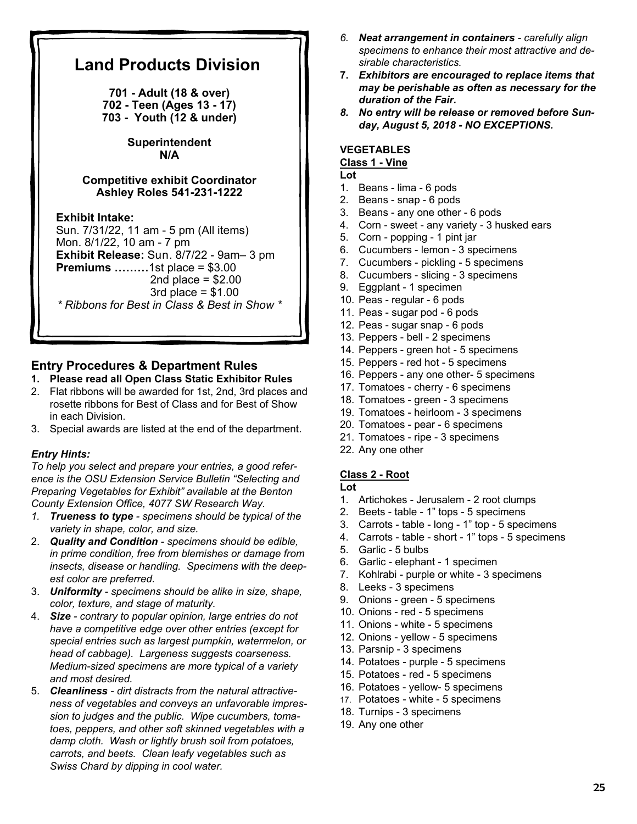# **Land Products Division 701 - Adult (18 & over) 702 - Teen (Ages 13 - 17) 703 - Youth (12 & under) Superintendent N/A Competitive exhibit Coordinator Ashley Roles 541-231-1222 Exhibit Intake:**  Sun. 7/31/22, 11 am - 5 pm (All items) Mon. 8/1/22, 10 am - 7 pm **Exhibit Release:** Sun. 8/7/22 - 9am– 3 pm **Premiums ………**1st place = \$3.00 2nd place  $= $2.00$  $3rd$  place =  $$1.00$ *\* Ribbons for Best in Class & Best in Show \**

# **Entry Procedures & Department Rules**

## **1. Please read all Open Class Static Exhibitor Rules**

- 2. Flat ribbons will be awarded for 1st, 2nd, 3rd places and rosette ribbons for Best of Class and for Best of Show in each Division.
- 3. Special awards are listed at the end of the department.

# *Entry Hints:*

*To help you select and prepare your entries, a good reference is the OSU Extension Service Bulletin "Selecting and Preparing Vegetables for Exhibit" available at the Benton County Extension Office, 4077 SW Research Way.* 

- *1. Trueness to type specimens should be typical of the variety in shape, color, and size.*
- 2. *Quality and Condition specimens should be edible, in prime condition, free from blemishes or damage from insects, disease or handling. Specimens with the deepest color are preferred.*
- 3. *Uniformity specimens should be alike in size, shape, color, texture, and stage of maturity.*
- 4. *Size contrary to popular opinion, large entries do not have a competitive edge over other entries (except for special entries such as largest pumpkin, watermelon, or head of cabbage). Largeness suggests coarseness. Medium-sized specimens are more typical of a variety and most desired.*
- 5. *Cleanliness dirt distracts from the natural attractiveness of vegetables and conveys an unfavorable impression to judges and the public. Wipe cucumbers, tomatoes, peppers, and other soft skinned vegetables with a damp cloth. Wash or lightly brush soil from potatoes, carrots, and beets. Clean leafy vegetables such as Swiss Chard by dipping in cool water.*
- *6. Neat arrangement in containers carefully align specimens to enhance their most attractive and desirable characteristics.*
- **7.** *Exhibitors are encouraged to replace items that may be perishable as often as necessary for the duration of the Fair.*
- *8. No entry will be release or removed before Sunday, August 5, 2018 - NO EXCEPTIONS.*

#### **VEGETABLES Class 1 - Vine**

**Lot** 

- 1. Beans lima 6 pods
- 2. Beans snap 6 pods
- 3. Beans any one other 6 pods
- 4. Corn sweet any variety 3 husked ears
- 5. Corn popping 1 pint jar
- 6. Cucumbers lemon 3 specimens
- 7. Cucumbers pickling 5 specimens
- 8. Cucumbers slicing 3 specimens
- 9. Eggplant 1 specimen
- 10. Peas regular 6 pods
- 11. Peas sugar pod 6 pods
- 12. Peas sugar snap 6 pods
- 13. Peppers bell 2 specimens
- 14. Peppers green hot 5 specimens
- 15. Peppers red hot 5 specimens
- 16. Peppers any one other- 5 specimens
- 17. Tomatoes cherry 6 specimens
- 18. Tomatoes green 3 specimens
- 19. Tomatoes heirloom 3 specimens
- 20. Tomatoes pear 6 specimens
- 21. Tomatoes ripe 3 specimens
- 22. Any one other

#### **Class 2 - Root**

#### **Lot**

- 1. Artichokes Jerusalem 2 root clumps
- 2. Beets table 1" tops 5 specimens
- 3. Carrots table long 1" top 5 specimens
- 4. Carrots table short 1" tops 5 specimens
- 5. Garlic 5 bulbs
- 6. Garlic elephant 1 specimen
- 7. Kohlrabi purple or white 3 specimens
- 8. Leeks 3 specimens
- 9. Onions green 5 specimens
- 10. Onions red 5 specimens
- 11. Onions white 5 specimens
- 12. Onions yellow 5 specimens
- 13. Parsnip 3 specimens
- 14. Potatoes purple 5 specimens
- 15. Potatoes red 5 specimens
- 16. Potatoes yellow- 5 specimens
- 17. Potatoes white 5 specimens
- 18. Turnips 3 specimens
- 19. Any one other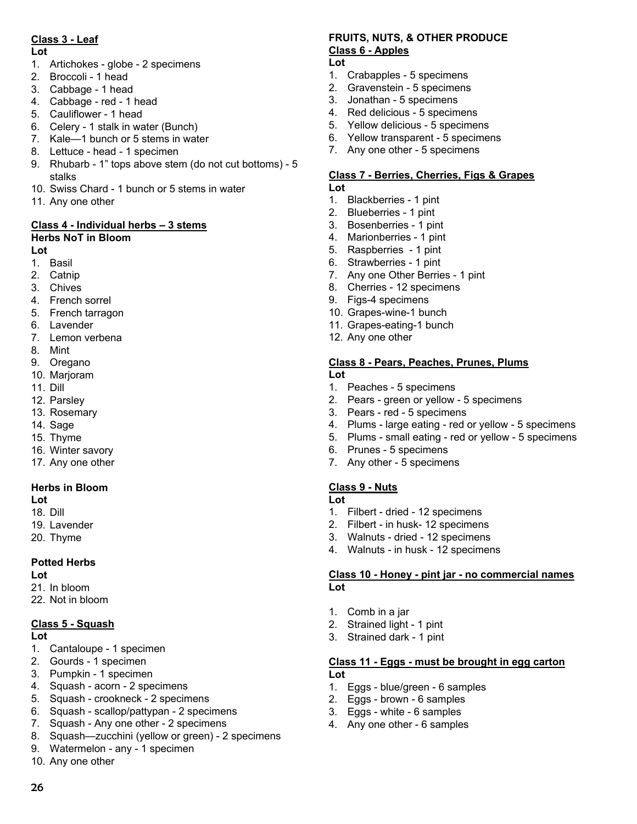# **Class 3 - Leaf**

#### **Lot**

- 1. Artichokes globe 2 specimens
- 2. Broccoli 1 head
- 3. Cabbage 1 head
- 4. Cabbage red 1 head
- 5. Cauliflower 1 head
- 6. Celery 1 stalk in water (Bunch)
- 7. Kale—1 bunch or 5 stems in water
- 8. Lettuce head 1 specimen
- 9. Rhubarb 1" tops above stem (do not cut bottoms) 5 stalks
- 10. Swiss Chard 1 bunch or 5 stems in water
- 11. Any one other

# **Class 4 - Individual herbs – 3 stems**

# **Herbs NoT in Bloom**

## **Lot**

- 1. Basil
- 2. Catnip
- 3. Chives
- 4. French sorrel
- 5. French tarragon
- 6. Lavender
- 7. Lemon verbena
- 8. Mint
- 9. Oregano
- 10. Marjoram
- 11. Dill
- 12. Parsley
- 13. Rosemary
- 14. Sage
- 15. Thyme
- 16. Winter savory
- 17. Any one other

# **Herbs in Bloom**

## **Lot**

- 18. Dill
- 19. Lavender
- 20. Thyme

# **Potted Herbs**

#### **Lot**

- 21. In bloom
- 22. Not in bloom

# **Class 5 - Squash**

**Lot** 

26

- 1. Cantaloupe 1 specimen
- 2. Gourds 1 specimen
- 3. Pumpkin 1 specimen
- 4. Squash acorn 2 specimens
- 5. Squash crookneck 2 specimens
- 6. Squash scallop/pattypan 2 specimens
- 7. Squash Any one other 2 specimens
- 8. Squash—zucchini (yellow or green) 2 specimens
- 9. Watermelon any 1 specimen
- 10. Any one other

# **FRUITS, NUTS, & OTHER PRODUCE Class 6 - Apples**

- **Lot**
- 1. Crabapples 5 specimens
- 2. Gravenstein 5 specimens
- 3. Jonathan 5 specimens
- 4. Red delicious 5 specimens
- 5. Yellow delicious 5 specimens
- 6. Yellow transparent 5 specimens
- 7. Any one other 5 specimens

## **Class 7 - Berries, Cherries, Figs & Grapes**

- **Lot**
- 1. Blackberries 1 pint
- 2. Blueberries 1 pint
- 3. Bosenberries 1 pint
- 4. Marionberries 1 pint
- 5. Raspberries 1 pint
- 6. Strawberries 1 pint
- 7. Any one Other Berries 1 pint
- 8. Cherries 12 specimens
- 9. Figs-4 specimens
- 10. Grapes-wine-1 bunch
- 11. Grapes-eating-1 bunch
- 12. Any one other

# **Class 8 - Pears, Peaches, Prunes, Plums**

- **Lot**
- 1. Peaches 5 specimens
- 2. Pears green or yellow 5 specimens
- 3. Pears red 5 specimens
- 4. Plums large eating red or yellow 5 specimens
- 5. Plums small eating red or yellow 5 specimens
- 6. Prunes 5 specimens
- 7. Any other 5 specimens

# **Class 9 - Nuts**

#### **Lot**

- 1. Filbert dried 12 specimens
- 2. Filbert in husk- 12 specimens
- 3. Walnuts dried 12 specimens
- 4. Walnuts in husk 12 specimens

#### **Class 10 - Honey - pint jar - no commercial names Lot**

- 1. Comb in a jar
- 2. Strained light 1 pint
- 3. Strained dark 1 pint

# **Class 11 - Eggs - must be brought in egg carton**

## **Lot**

- 1. Eggs blue/green 6 samples
- 2. Eggs brown 6 samples 3. Eggs - white - 6 samples

4. Any one other - 6 samples